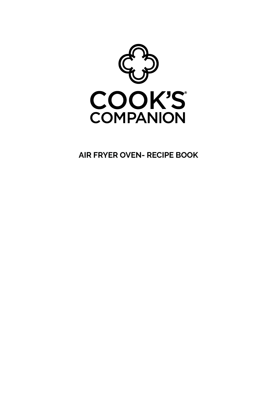

**AIR FRYER OVEN- RECIPE BOOK**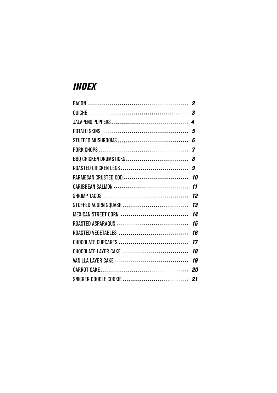## *INDEX*

|                      | 11 |
|----------------------|----|
|                      | 12 |
| STUFFED ACORN SQUASH | 13 |
| MEXICAN STREET CORN  | 14 |
|                      | 15 |
| ROASTED VEGETABLES   | 16 |
|                      |    |
|                      |    |
|                      |    |
|                      |    |
|                      |    |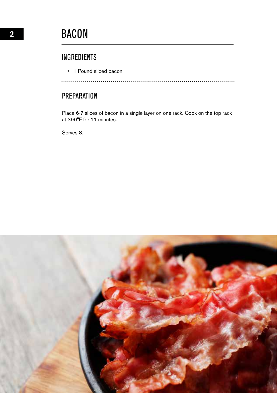## INGREDIENTS

• 1 Pound sliced bacon

.............................

## **PREPARATION**

Place 6-7 slices of bacon in a single layer on one rack. Cook on the top rack at 390°F for 11 minutes.

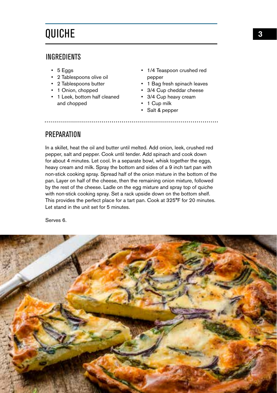# QUICHE

#### **INGREDIENTS**

- 5 Eggs
- 2 Tablespoons olive oil
- 2 Tablespoons butter
- 1 Onion, chopped
- 1 Leek, bottom half cleaned and chopped
- 1/4 Teaspoon crushed red pepper
- 1 Bag fresh spinach leaves

..........................

- 3/4 Cup cheddar cheese
- 3/4 Cup heavy cream
- 1 Cup milk
- Salt & pepper

#### **PREPARATION**

In a skillet, heat the oil and butter until melted. Add onion, leek, crushed red pepper, salt and pepper. Cook until tender. Add spinach and cook down for about 4 minutes. Let cool. In a separate bowl, whisk together the eggs, heavy cream and milk. Spray the bottom and sides of a 9 inch tart pan with non-stick cooking spray. Spread half of the onion mixture in the bottom of the pan. Layer on half of the cheese, then the remaining onion mixture, followed by the rest of the cheese. Ladle on the egg mixture and spray top of quiche with non-stick cooking spray. Set a rack upside down on the bottom shelf. This provides the perfect place for a tart pan. Cook at 325°F for 20 minutes. Let stand in the unit set for 5 minutes.

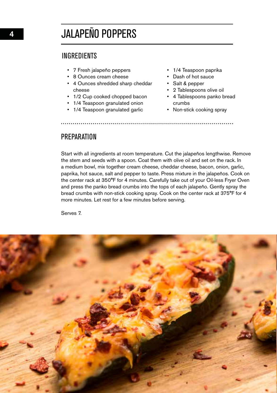# JALAPEÑO POPPERS

#### INGREDIENTS

- 7 Fresh jalapeño peppers
- 8 Ounces cream cheese
- 4 Ounces shredded sharp cheddar cheese
- 1/2 Cup cooked chopped bacon
- 1/4 Teaspoon granulated onion
- 1/4 Teaspoon granulated garlic
- 1/4 Teaspoon paprika
- Dash of hot sauce
- Salt & pepper
- 2 Tablespoons olive oil
- 4 Tablespoons panko bread crumbs
- Non-stick cooking spray

PREPARATION

Start with all ingredients at room temperature. Cut the jalapeños lengthwise. Remove the stem and seeds with a spoon. Coat them with olive oil and set on the rack. In a medium bowl, mix together cream cheese, cheddar cheese, bacon, onion, garlic, paprika, hot sauce, salt and pepper to taste. Press mixture in the jalapeños. Cook on the center rack at 350°F for 4 minutes. Carefully take out of your Oil-less Fryer Oven and press the panko bread crumbs into the tops of each jalapeño. Gently spray the bread crumbs with non-stick cooking spray. Cook on the center rack at 375°F for 4 more minutes. Let rest for a few minutes before serving.

Serves 7.

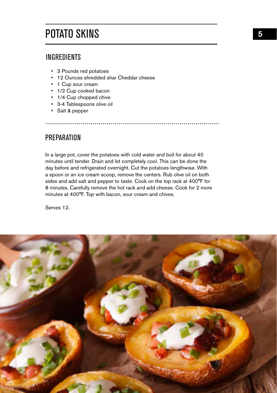# POTATO SKINS

## INGREDIENTS

- 3 Pounds red potatoes
- 12 Ounces shredded shar Cheddar cheese
- 1 Cup sour cream
- 1/2 Cup cooked bacon
- 1/4 Cup chopped chive
- 3-4 Tablespoons olive oil
- Salt & pepper

### **PREPARATION**

In a large pot, cover the potatoes with cold water and boil for about 40 minutes until tender. Drain and let completely cool. This can be done the day before and refrigerated overnight. Cut the potatoes lengthwise. With a spoon or an ice cream scoop, remove the centers. Rub olive oil on both sides and add salt and pepper to taste. Cook on the top rack at 400°F for 8 minutes. Carefully remove the hot rack and add cheese. Cook for 2 more minutes at 400°F. Top with bacon, sour cream and chives.

Serves 12.

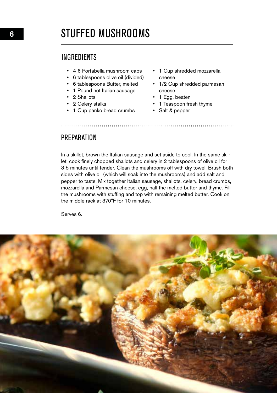## STUFFED MUSHROOMS

#### INGREDIENTS

- 4-6 Portabella mushroom caps
- 6 tablespoons olive oil (divided)
- 6 tablespoons Butter, melted
- 1 Pound hot Italian sausage
- 2 Shallots
- 2 Celery stalks
- 1 Cup panko bread crumbs
- 1 Cup shredded mozzarella cheese
- 1/2 Cup shredded parmesan cheese
- 1 Egg, beaten
- 1 Teaspoon fresh thyme
- Salt & pepper

**PREPARATION** 

In a skillet, brown the Italian sausage and set aside to cool. In the same skillet, cook finely chopped shallots and celery in 2 tablespoons of olive oil for 3-5 minutes until tender. Clean the mushrooms off with dry towel. Brush both sides with olive oil (which will soak into the mushrooms) and add salt and pepper to taste. Mix together Italian sausage, shallots, celery, bread crumbs, mozzarella and Parmesan cheese, egg, half the melted butter and thyme. Fill the mushrooms with stuffing and top with remaining melted butter. Cook on the middle rack at 370°F for 10 minutes.

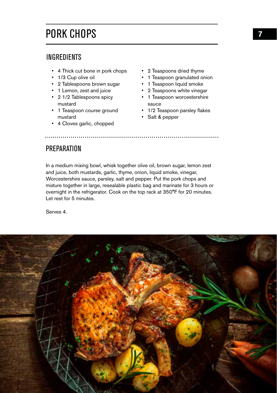# PORK CHOPS

#### INGREDIENTS

- 4 Thick cut bone in pork chops
- 1/3 Cup olive oil
- 2 Tablespoons brown sugar
- 1 Lemon, zest and juice
- 2 1/2 Tablespoons spicy mustard
- 1 Teaspoon course ground mustard
- 4 Cloves garlic, chopped
- 2 Teaspoons dried thyme
- 1 Teaspoon granulated onion
- 1 Teaspoon liquid smoke
- 2 Teaspoons white vinegar
- 1 Teaspoon worcestershire sauce
- 1/2 Teaspoon parsley flakes
- Salt & pepper

### PREPARATION

In a medium mixing bowl, whisk together olive oil, brown sugar, lemon zest and juice, both mustards, garlic, thyme, onion, liquid smoke, vinegar, Worcestershire sauce, parsley, salt and pepper. Put the pork chops and mixture together in large, resealable plastic bag and marinate for 3 hours or overnight in the refrigerator. Cook on the top rack at 350°F for 20 minutes. Let rest for 5 minutes.

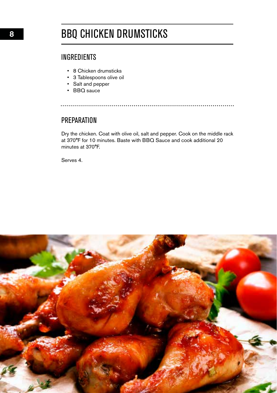# BBQ CHICKEN DRUMSTICKS

## INGREDIENTS

- 8 Chicken drumsticks
- 3 Tablespoons olive oil
- Salt and pepper
- BBQ sauce

### **PREPARATION**

Dry the chicken. Coat with olive oil, salt and pepper. Cook on the middle rack at 370°F for 10 minutes. Baste with BBQ Sauce and cook additional 20 minutes at 370°F.

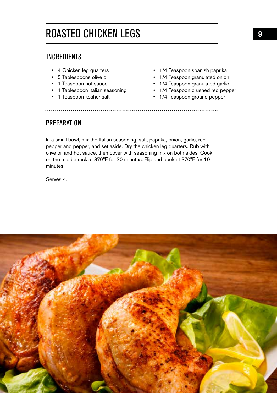# ROASTED CHICKEN LEGS

### INGREDIENTS

- 4 Chicken leg quarters
- 3 Tablespoons olive oil
- 1 Teaspoon hot sauce
- 1 Tablespoon italian seasoning
- 1 Teaspoon kosher salt
- 1/4 Teaspoon spanish paprika
- 1/4 Teaspoon granulated onion
- 1/4 Teaspoon granulated garlic
- 1/4 Teaspoon crushed red pepper
- 1/4 Teaspoon ground pepper

### **PREPARATION**

In a small bowl, mix the Italian seasoning, salt, paprika, onion, garlic, red pepper and pepper, and set aside. Dry the chicken leg quarters. Rub with olive oil and hot sauce, then cover with seasoning mix on both sides. Cook on the middle rack at 370°F for 30 minutes. Flip and cook at 370°F for 10 minutes.

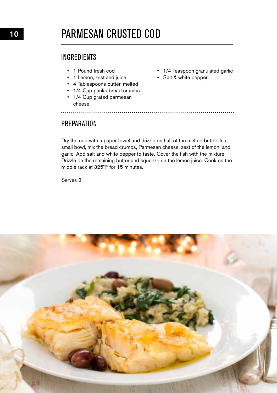# PARMESAN CRUSTED COD

## INGREDIENTS

- 1 Pound fresh cod
- 1 Lemon, zest and juice
- 4 Tablespoons butter, melted
- 1/4 Cup panko bread crumbs • 1/4 Cup grated parmesan
- 1/4 Teaspoon granulated garlic
- Salt & white pepper

## **PREPARATION**

cheese

Dry the cod with a paper towel and drizzle on half of the melted butter. In a small bowl, mix the bread crumbs, Parmesan cheese, zest of the lemon, and garlic. Add salt and white pepper to taste. Cover the fish with the mixture. Drizzle on the remaining butter and squeeze on the lemon juice. Cook on the middle rack at 325°F for 15 minutes.

Serves 2.

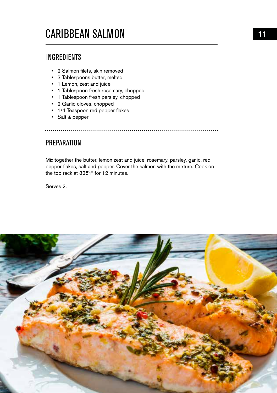# CARIBBEAN SALMON

## INGREDIENTS

- 2 Salmon filets, skin removed
- 3 Tablespoons butter, melted
- 1 Lemon, zest and juice
- 1 Tablespoon fresh rosemary, chopped
- 1 Tablespoon fresh parsley, chopped
- 2 Garlic cloves, chopped
- 1/4 Teaspoon red pepper flakes
- Salt & pepper

## **PREPARATION**

Mix together the butter, lemon zest and juice, rosemary, parsley, garlic, red pepper flakes, salt and pepper. Cover the salmon with the mixture. Cook on the top rack at 325°F for 12 minutes.

Serves 2.

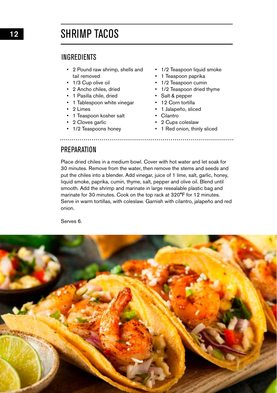# SHRIMP TACOS

#### INGREDIENTS

- 2 Pound raw shrimp, shells and tail removed
- 1/3 Cup olive oil
- 2 Ancho chiles, dried
- 1 Pasilla chile, dried
- 1 Tablespoon white vinegar
- 2 Limes
- 1 Teaspoon kosher salt
- 2 Cloves garlic
- 1/2 Teaspoons honey
- 1/2 Teaspoon liquid smoke
- 1 Teaspoon paprika
- 1/2 Teaspoon cumin
- 1/2 Teaspoon dried thyme
- Salt & pepper
- 12 Corn tortilla
- 1 Jalapeño, sliced
- Cilantro
- 2 Cups coleslaw
- 1 Red onion, thinly sliced

### **PREPARATION**

Place dried chiles in a medium bowl. Cover with hot water and let soak for 30 minutes. Remove from the water, then remove the stems and seeds and put the chiles into a blender. Add vinegar, juice of 1 lime, salt, garlic, honey, liquid smoke, paprika, cumin, thyme, salt, pepper and olive oil. Blend until smooth. Add the shrimp and marinate in large resealable plastic bag and marinate for 30 minutes. Cook on the top rack at 320°F for 12 minutes. Serve in warm tortillas, with coleslaw. Garnish with cilantro, jalapeño and red onion.

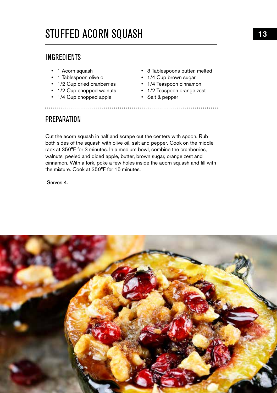# STUFFED ACORN SQUASH

## INGREDIENTS

- 1 Acorn squash
- 1 Tablespoon olive oil
- 1/2 Cup dried cranberries
- 1/2 Cup chopped walnuts
- 1/4 Cup chopped apple
- 3 Tablespoons butter, melted
- 1/4 Cup brown sugar
- 1/4 Teaspoon cinnamon
- 1/2 Teaspoon orange zest
	- Salt & pepper

### **PREPARATION**

Cut the acorn squash in half and scrape out the centers with spoon. Rub both sides of the squash with olive oil, salt and pepper. Cook on the middle rack at 350°F for 3 minutes. In a medium bowl, combine the cranberries, walnuts, peeled and diced apple, butter, brown sugar, orange zest and cinnamon. With a fork, poke a few holes inside the acorn squash and fill with the mixture. Cook at 350°F for 15 minutes.

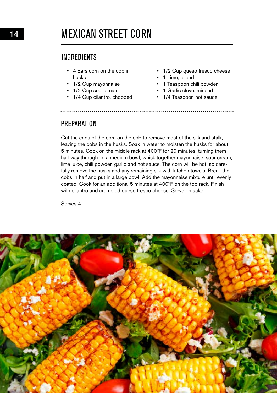# MEXICAN STREET CORN

#### INGREDIENTS

- 4 Ears corn on the cob in husks
- 1/2 Cup mayonnaise
- 1/2 Cup sour cream
- 1/4 Cup cilantro, chopped
- 1/2 Cup queso fresco cheese

....................

- 1 Lime, juiced
- 1 Teaspoon chili powder
- 1 Garlic clove, minced
- 1/4 Teaspoon hot sauce

### **PREPARATION**

Cut the ends of the corn on the cob to remove most of the silk and stalk, leaving the cobs in the husks. Soak in water to moisten the husks for about 5 minutes. Cook on the middle rack at 400°F for 20 minutes, turning them half way through. In a medium bowl, whisk together mayonnaise, sour cream, lime juice, chili powder, garlic and hot sauce. The corn will be hot, so carefully remove the husks and any remaining silk with kitchen towels. Break the cobs in half and put in a large bowl. Add the mayonnaise mixture until evenly coated. Cook for an additional 5 minutes at 400°F on the top rack. Finish with cilantro and crumbled queso fresco cheese. Serve on salad.

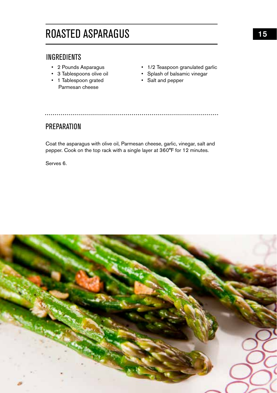# ROASTED ASPARAGUS

## INGREDIENTS

- 2 Pounds Asparagus
- 3 Tablespoons olive oil
- 1 Tablespoon grated Parmesan cheese
- 1/2 Teaspoon granulated garlic
- Splash of balsamic vinegar
- Salt and pepper

. . . . . . . . . . . . . . . . . .

### **PREPARATION**

Coat the asparagus with olive oil, Parmesan cheese, garlic, vinegar, salt and pepper. Cook on the top rack with a single layer at 360°F for 12 minutes.

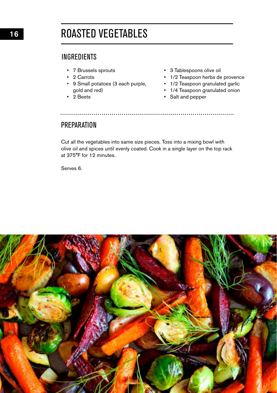16

# ROASTED VEGETABLES

### **INGREDIENTS**

- 7 Brussels sprouts
- 2 Carrots
- 9 Small potatoes (3 each purple, gold and red)
- $\cdot$  2 Beets
- 3 Tablespoons olive oil
- 1/2 Teaspoon herbs de provence
- 1/2 Teaspoon granulated garlic
- 1/4 Teaspoon granulated onion
- Salt and pepper

#### **PREPARATION**

Cut all the vegetables into same size pieces. Toss into a mixing bowl with olive oil and spices until evenly coated. Cook in a single layer on the top rack at 375°F for 12 minutes.

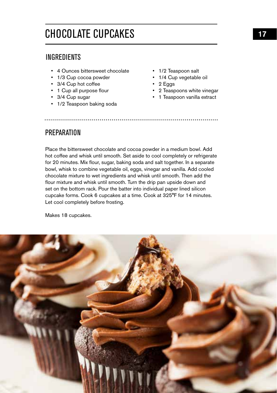# CHOCOLATE CUPCAKES

#### INGREDIENTS

- 4 Ounces bittersweet chocolate
- 1/3 Cup cocoa powder
- 3/4 Cup hot coffee
- 1 Cup all purpose flour
- 3/4 Cup sugar
- 1/2 Teaspoon baking soda
- 1/2 Teaspoon salt
- 1/4 Cup vegetable oil
- 2 Eggs
- 2 Teaspoons white vinegar
- 1 Teaspoon vanilla extract

#### **PREPARATION**

Place the bittersweet chocolate and cocoa powder in a medium bowl. Add hot coffee and whisk until smooth. Set aside to cool completely or refrigerate for 20 minutes. Mix flour, sugar, baking soda and salt together. In a separate bowl, whisk to combine vegetable oil, eggs, vinegar and vanilla. Add cooled chocolate mixture to wet ingredients and whisk until smooth. Then add the flour mixture and whisk until smooth. Turn the drip pan upside down and set on the bottom rack. Pour the batter into individual paper lined silicon cupcake forms. Cook 6 cupcakes at a time. Cook at 325°F for 14 minutes. Let cool completely before frosting.

Makes 18 cupcakes.

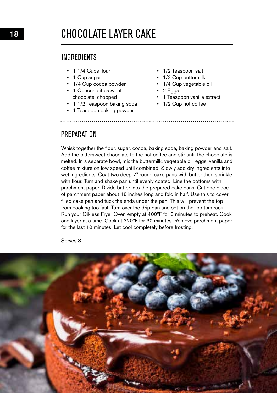# CHOCOLATE LAYER CAKE

#### **INGREDIENTS**

- 1 1/4 Cups flour
- 1 Cup sugar
- 1/4 Cup cocoa powder
- 1 Ounces bittersweet chocolate, chopped
- 1 1/2 Teaspoon baking soda
- 1 Teaspoon baking powder
- 1/2 Teaspoon salt
- 1/2 Cup buttermilk
- 1/4 Cup vegetable oil
- 2 Eggs
- 1 Teaspoon vanilla extract
- 1/2 Cup hot coffee

#### **PREPARATION**

Whisk together the flour, sugar, cocoa, baking soda, baking powder and salt. Add the bittersweet chocolate to the hot coffee and stir until the chocolate is melted. In s separate bowl, mix the buttermilk, vegetable oil, eggs, vanilla and coffee mixture on low speed until combined. Slowly add dry ingredients into wet ingredients. Coat two deep 7" round cake pans with butter then sprinkle with flour. Turn and shake pan until evenly coated. Line the bottoms with parchment paper. Divide batter into the prepared cake pans. Cut one piece of parchment paper about 18 inches long and fold in half. Use this to cover filled cake pan and tuck the ends under the pan. This will prevent the top from cooking too fast. Turn over the drip pan and set on the bottom rack. Run your Oil-less Fryer Oven empty at 400°F for 3 minutes to preheat. Cook one layer at a time. Cook at 320°F for 30 minutes. Remove parchment paper for the last 10 minutes. Let cool completely before frosting.

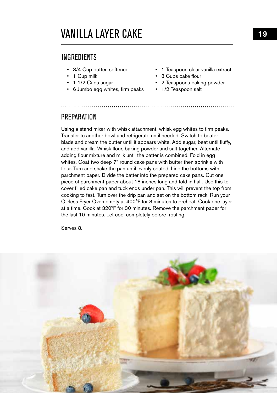# VANILLA LAYER CAKE

#### INGREDIENTS

- 3/4 Cup butter, softened
- 1 Cup milk
- 1 1/2 Cups sugar
- 6 Jumbo egg whites, firm peaks
- 1 Teaspoon clear vanilla extract
- 3 Cups cake flour
- 2 Teaspoons baking powder
- 1/2 Teaspoon salt

#### **PREPARATION**

Using a stand mixer with whisk attachment, whisk egg whites to firm peaks. Transfer to another bowl and refrigerate until needed. Switch to beater blade and cream the butter until it appears white. Add sugar, beat until fluffy, and add vanilla. Whisk flour, baking powder and salt together. Alternate adding flour mixture and milk until the batter is combined. Fold in egg whites. Coat two deep 7" round cake pans with butter then sprinkle with flour. Turn and shake the pan until evenly coated. Line the bottoms with parchment paper. Divide the batter into the prepared cake pans. Cut one piece of parchment paper about 18 inches long and fold in half. Use this to cover filled cake pan and tuck ends under pan. This will prevent the top from cooking to fast. Turn over the drip pan and set on the bottom rack. Run your Oil-less Fryer Oven empty at 400°F for 3 minutes to preheat. Cook one layer at a time. Cook at 320°F for 30 minutes. Remove the parchment paper for the last 10 minutes. Let cool completely before frosting.

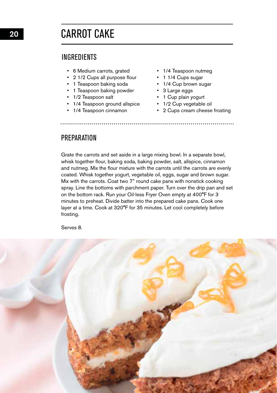20

# CARROT CAKE

#### **INGREDIENTS**

- 6 Medium carrots, grated
- 2 1/2 Cups all purpose flour
- 1 Teaspoon baking soda
- 1 Teaspoon baking powder
- 1/2 Teaspoon salt
- 1/4 Teaspoon ground allspice
- 1/4 Teaspoon cinnamon
- 1/4 Teaspoon nutmeg
- 1 1/4 Cups sugar
- 1/4 Cup brown sugar
- 3 Large eggs
- 1 Cup plain yogurt
- 1/2 Cup vegetable oil
- 2 Cups cream cheese frosting

#### **PREPARATION**

Grate the carrots and set aside in a large mixing bowl. In a separate bowl, whisk together flour, baking soda, baking powder, salt, allspice, cinnamon and nutmeg. Mix the flour mixture with the carrots until the carrots are evenly coated. Whisk together yogurt, vegetable oil, eggs, sugar and brown sugar. Mix with the carrots. Coat two 7" round cake pans with nonstick cooking spray. Line the bottoms with parchment paper. Turn over the drip pan and set on the bottom rack. Run your Oil-less Fryer Oven empty at 400°F for 3 minutes to preheat. Divide batter into the prepared cake pans. Cook one layer at a time. Cook at 320°F for 35 minutes. Let cool completely before frosting.

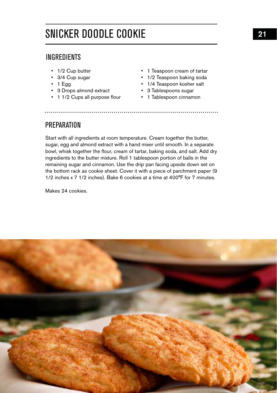# SNICKER DOODLE COOKIE

#### INGREDIENTS

- 1/2 Cup butter
- 3/4 Cup sugar
- $\cdot$  1 Egg
- 3 Drops almond extract
- 1 1/2 Cups all purpose flour 1 Tablespoon cinnamon
- 1 Teaspoon cream of tartar
- 1/2 Teaspoon baking soda
- 1/4 Teaspoon kosher salt
- 3 Tablespoons sugar
	-

#### **PREPARATION**

Start with all ingredients at room temperature. Cream together the butter, sugar, egg and almond extract with a hand mixer until smooth. In a separate bowl, whisk together the flour, cream of tartar, baking soda, and salt. Add dry ingredients to the butter mixture. Roll 1 tablespoon portion of balls in the remaining sugar and cinnamon. Use the drip pan facing upside down set on the bottom rack as cookie sheet. Cover it with a piece of parchment paper (9 1/2 inches x 7 1/2 inches). Bake 6 cookies at a time at 400°F for 7 minutes.

Makes 24 cookies.